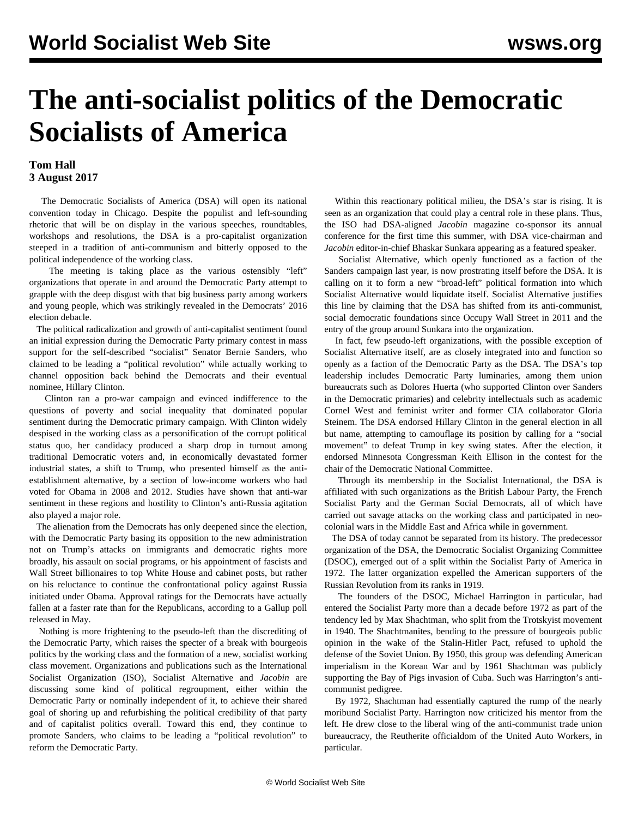## **The anti-socialist politics of the Democratic Socialists of America**

## **Tom Hall 3 August 2017**

 The Democratic Socialists of America (DSA) will open its national convention today in Chicago. Despite the populist and left-sounding rhetoric that will be on display in the various speeches, roundtables, workshops and resolutions, the DSA is a pro-capitalist organization steeped in a tradition of anti-communism and bitterly opposed to the political independence of the working class.

 The meeting is taking place as the various ostensibly "left" organizations that operate in and around the Democratic Party attempt to grapple with the deep disgust with that big business party among workers and young people, which was strikingly revealed in the Democrats' 2016 election debacle.

 The political radicalization and growth of anti-capitalist sentiment found an initial expression during the Democratic Party primary contest in mass support for the self-described "socialist" Senator Bernie Sanders, who claimed to be leading a "political revolution" while actually working to channel opposition back behind the Democrats and their eventual nominee, Hillary Clinton.

 Clinton ran a pro-war campaign and evinced indifference to the questions of poverty and social inequality that dominated popular sentiment during the Democratic primary campaign. With Clinton widely despised in the working class as a personification of the corrupt political status quo, her candidacy produced a sharp drop in turnout among traditional Democratic voters and, in economically devastated former industrial states, a shift to Trump, who presented himself as the antiestablishment alternative, by a section of low-income workers who had voted for Obama in 2008 and 2012. Studies have shown that anti-war sentiment in these regions and hostility to Clinton's anti-Russia agitation also played a major role.

 The alienation from the Democrats has only deepened since the election, with the Democratic Party basing its opposition to the new administration not on Trump's attacks on immigrants and democratic rights more broadly, his assault on social programs, or his appointment of fascists and Wall Street billionaires to top White House and cabinet posts, but rather on his reluctance to continue the confrontational policy against Russia initiated under Obama. Approval ratings for the Democrats have actually fallen at a faster rate than for the Republicans, according to a Gallup poll released in May.

 Nothing is more frightening to the pseudo-left than the discrediting of the Democratic Party, which raises the specter of a break with bourgeois politics by the working class and the formation of a new, socialist working class movement. Organizations and publications such as the International Socialist Organization (ISO), Socialist Alternative and *Jacobin* are discussing some kind of political regroupment, either within the Democratic Party or nominally independent of it, to achieve their shared goal of shoring up and refurbishing the political credibility of that party and of capitalist politics overall. Toward this end, they continue to promote Sanders, who claims to be leading a "political revolution" to reform the Democratic Party.

 Within this reactionary political milieu, the DSA's star is rising. It is seen as an organization that could play a central role in these plans. Thus, the ISO had DSA-aligned *Jacobin* magazine co-sponsor its annual conference for the first time this summer, with DSA vice-chairman and *Jacobin* editor-in-chief Bhaskar Sunkara appearing as a featured speaker.

 Socialist Alternative, which openly functioned as a faction of the Sanders campaign last year, is now prostrating itself before the DSA. It is calling on it to form a new "broad-left" political formation into which Socialist Alternative would liquidate itself. Socialist Alternative justifies this line by claiming that the DSA has shifted from its anti-communist, social democratic foundations since Occupy Wall Street in 2011 and the entry of the group around Sunkara into the organization.

 In fact, few pseudo-left organizations, with the possible exception of Socialist Alternative itself, are as closely integrated into and function so openly as a faction of the Democratic Party as the DSA. The DSA's top leadership includes Democratic Party luminaries, among them union bureaucrats such as Dolores Huerta (who supported Clinton over Sanders in the Democratic primaries) and celebrity intellectuals such as academic Cornel West and feminist writer and former [CIA collaborator](/en/articles/2015/08/17/wur1-a17.html) Gloria Steinem. The DSA endorsed Hillary Clinton in the general election in all but name, attempting to camouflage its position by calling for a "social movement" to defeat Trump in key swing states. After the election, it endorsed Minnesota Congressman Keith Ellison in the contest for the chair of the Democratic National Committee.

 Through its membership in the Socialist International, the DSA is affiliated with such organizations as the British Labour Party, the French Socialist Party and the German Social Democrats, all of which have carried out savage attacks on the working class and participated in neocolonial wars in the Middle East and Africa while in government.

 The DSA of today cannot be separated from its history. The predecessor organization of the DSA, the Democratic Socialist Organizing Committee (DSOC), emerged out of a split within the Socialist Party of America in 1972. The latter organization expelled the American supporters of the Russian Revolution from its ranks in 1919.

 The founders of the DSOC, Michael Harrington in particular, had entered the Socialist Party more than a decade before 1972 as part of the tendency led by Max Shachtman, who split from the Trotskyist movement in 1940. The Shachtmanites, bending to the pressure of bourgeois public opinion in the wake of the Stalin-Hitler Pact, refused to uphold the defense of the Soviet Union. By 1950, this group was defending American imperialism in the Korean War and by 1961 Shachtman was publicly supporting the Bay of Pigs invasion of Cuba. Such was Harrington's anticommunist pedigree.

 By 1972, Shachtman had essentially captured the rump of the nearly moribund Socialist Party. Harrington now criticized his mentor from the left. He drew close to the liberal wing of the anti-communist trade union bureaucracy, the Reutherite officialdom of the United Auto Workers, in particular.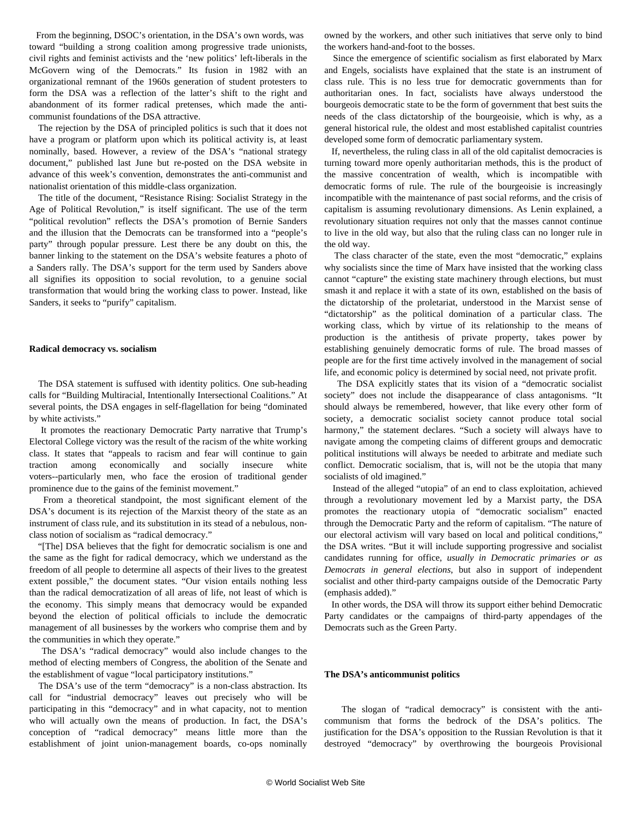From the beginning, DSOC's orientation, in the DSA's own words, was toward "building a strong coalition among progressive trade unionists, civil rights and feminist activists and the 'new politics' left-liberals in the McGovern wing of the Democrats." Its fusion in 1982 with an organizational remnant of the 1960s generation of student protesters to form the DSA was a reflection of the latter's shift to the right and abandonment of its former radical pretenses, which made the anticommunist foundations of the DSA attractive.

 The rejection by the DSA of principled politics is such that it does not have a program or platform upon which its political activity is, at least nominally, based. However, a review of the DSA's "national strategy document," published last June but re-posted on the DSA website in advance of this week's convention, demonstrates the anti-communist and nationalist orientation of this middle-class organization.

 The title of the document, "Resistance Rising: Socialist Strategy in the Age of Political Revolution," is itself significant. The use of the term "political revolution" reflects the DSA's promotion of Bernie Sanders and the illusion that the Democrats can be transformed into a "people's party" through popular pressure. Lest there be any doubt on this, the banner linking to the statement on the DSA's website features a photo of a Sanders rally. The DSA's support for the term used by Sanders above all signifies its opposition to social revolution, to a genuine social transformation that would bring the working class to power. Instead, like Sanders, it seeks to "purify" capitalism.

## **Radical democracy vs. socialism**

 The DSA statement is suffused with identity politics. One sub-heading calls for "Building Multiracial, Intentionally Intersectional Coalitions." At several points, the DSA engages in self-flagellation for being "dominated by white activists."

 It promotes the reactionary Democratic Party narrative that Trump's Electoral College victory was the result of the racism of the white working class. It states that "appeals to racism and fear will continue to gain traction among economically and socially insecure white voters--particularly men, who face the erosion of traditional gender prominence due to the gains of the feminist movement."

 From a theoretical standpoint, the most significant element of the DSA's document is its rejection of the Marxist theory of the state as an instrument of class rule, and its substitution in its stead of a nebulous, nonclass notion of socialism as "radical democracy."

 "[The] DSA believes that the fight for democratic socialism is one and the same as the fight for radical democracy, which we understand as the freedom of all people to determine all aspects of their lives to the greatest extent possible," the document states. "Our vision entails nothing less than the radical democratization of all areas of life, not least of which is the economy. This simply means that democracy would be expanded beyond the election of political officials to include the democratic management of all businesses by the workers who comprise them and by the communities in which they operate."

 The DSA's "radical democracy" would also include changes to the method of electing members of Congress, the abolition of the Senate and the establishment of vague "local participatory institutions."

 The DSA's use of the term "democracy" is a non-class abstraction. Its call for "industrial democracy" leaves out precisely who will be participating in this "democracy" and in what capacity, not to mention who will actually own the means of production. In fact, the DSA's conception of "radical democracy" means little more than the establishment of joint union-management boards, co-ops nominally

owned by the workers, and other such initiatives that serve only to bind the workers hand-and-foot to the bosses.

 Since the emergence of scientific socialism as first elaborated by Marx and Engels, socialists have explained that the state is an instrument of class rule. This is no less true for democratic governments than for authoritarian ones. In fact, socialists have always understood the bourgeois democratic state to be the form of government that best suits the needs of the class dictatorship of the bourgeoisie, which is why, as a general historical rule, the oldest and most established capitalist countries developed some form of democratic parliamentary system.

 If, nevertheless, the ruling class in all of the old capitalist democracies is turning toward more openly authoritarian methods, this is the product of the massive concentration of wealth, which is incompatible with democratic forms of rule. The rule of the bourgeoisie is increasingly incompatible with the maintenance of past social reforms, and the crisis of capitalism is assuming revolutionary dimensions. As Lenin explained, a revolutionary situation requires not only that the masses cannot continue to live in the old way, but also that the ruling class can no longer rule in the old way.

 The class character of the state, even the most "democratic," explains why socialists since the time of Marx have insisted that the working class cannot "capture" the existing state machinery through elections, but must smash it and replace it with a state of its own, established on the basis of the dictatorship of the proletariat, understood in the Marxist sense of "dictatorship" as the political domination of a particular class. The working class, which by virtue of its relationship to the means of production is the antithesis of private property, takes power by establishing genuinely democratic forms of rule. The broad masses of people are for the first time actively involved in the management of social life, and economic policy is determined by social need, not private profit.

 The DSA explicitly states that its vision of a "democratic socialist society" does not include the disappearance of class antagonisms. "It should always be remembered, however, that like every other form of society, a democratic socialist society cannot produce total social harmony," the statement declares. "Such a society will always have to navigate among the competing claims of different groups and democratic political institutions will always be needed to arbitrate and mediate such conflict. Democratic socialism, that is, will not be the utopia that many socialists of old imagined."

 Instead of the alleged "utopia" of an end to class exploitation, achieved through a revolutionary movement led by a Marxist party, the DSA promotes the reactionary utopia of "democratic socialism" enacted through the Democratic Party and the reform of capitalism. "The nature of our electoral activism will vary based on local and political conditions," the DSA writes. "But it will include supporting progressive and socialist candidates running for office, *usually in Democratic primaries or as Democrats in general elections*, but also in support of independent socialist and other third-party campaigns outside of the Democratic Party (emphasis added)."

 In other words, the DSA will throw its support either behind Democratic Party candidates or the campaigns of third-party appendages of the Democrats such as the Green Party.

## **The DSA's anticommunist politics**

 The slogan of "radical democracy" is consistent with the anticommunism that forms the bedrock of the DSA's politics. The justification for the DSA's opposition to the Russian Revolution is that it destroyed "democracy" by overthrowing the bourgeois Provisional